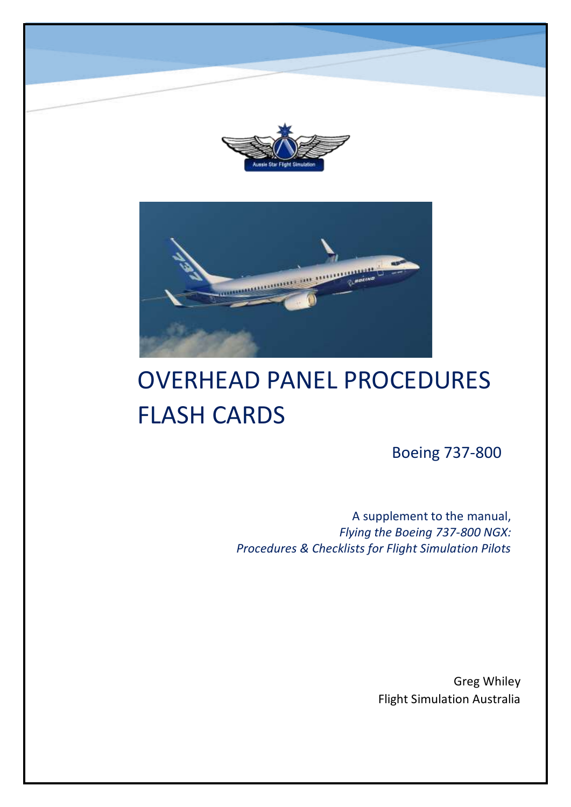



# OVERHEAD PANEL PROCEDURES FLASH CARDS

Boeing 737-800

A supplement to the manual, *Flying the Boeing 737-800 NGX: Procedures & Checklists for Flight Simulation Pilots*

> Greg Whiley Flight Simulation Australia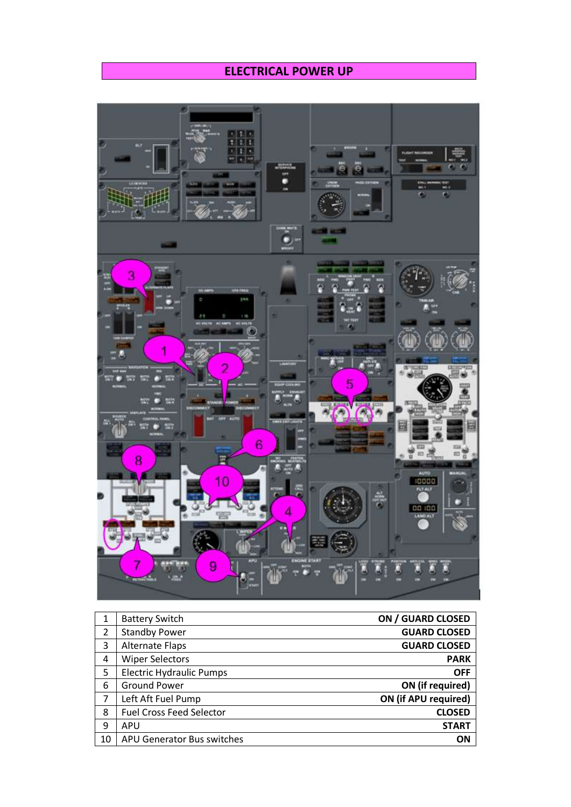#### **ELECTRICAL POWER UP**



| 1  | <b>Battery Switch</b>           | ON / GUARD CLOSED    |
|----|---------------------------------|----------------------|
| 2  | <b>Standby Power</b>            | <b>GUARD CLOSED</b>  |
| 3  | <b>Alternate Flaps</b>          | <b>GUARD CLOSED</b>  |
| 4  | <b>Wiper Selectors</b>          | <b>PARK</b>          |
| 5  | <b>Electric Hydraulic Pumps</b> | <b>OFF</b>           |
| 6  | <b>Ground Power</b>             | ON (if required)     |
| 7  | Left Aft Fuel Pump              | ON (if APU required) |
| 8  | <b>Fuel Cross Feed Selector</b> | <b>CLOSED</b>        |
| 9  | APU                             | <b>START</b>         |
| 10 | APU Generator Bus switches      | ΟN                   |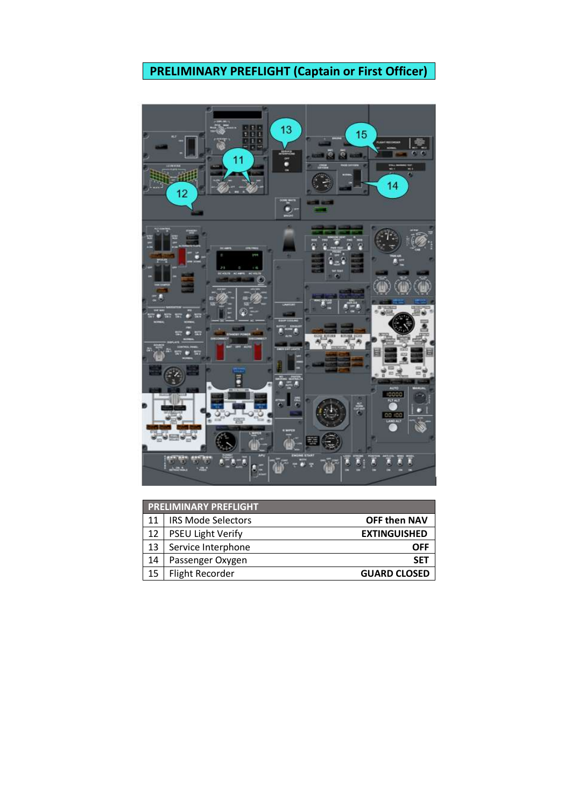# **PRELIMINARY PREFLIGHT (Captain or First Officer)**



|    | <b>PRELIMINARY PREFLIGHT</b> |                     |  |  |
|----|------------------------------|---------------------|--|--|
| 11 | <b>IRS Mode Selectors</b>    | <b>OFF then NAV</b> |  |  |
| 12 | <b>PSEU Light Verify</b>     | <b>EXTINGUISHED</b> |  |  |
| 13 | Service Interphone           | OFF                 |  |  |
| 14 | Passenger Oxygen             | <b>SET</b>          |  |  |
| 15 | <b>Flight Recorder</b>       | <b>GUARD CLOSED</b> |  |  |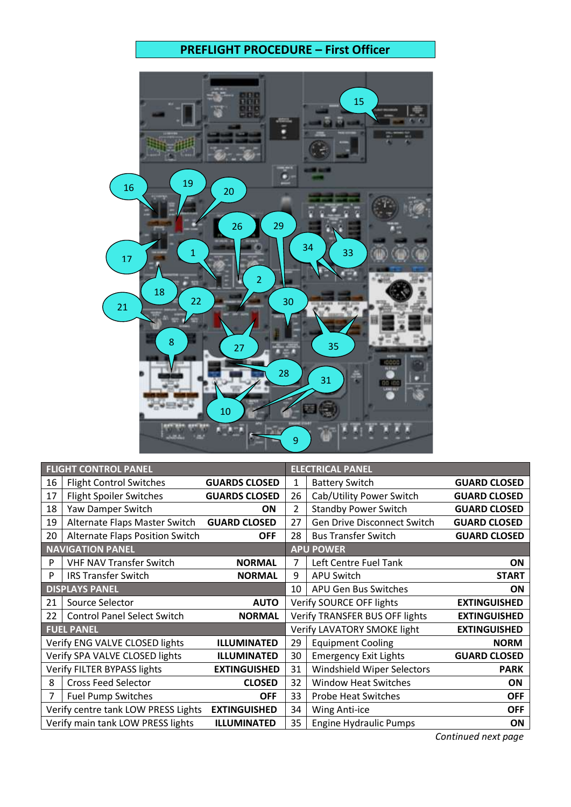## **PREFLIGHT PROCEDURE – First Officer**



| <b>FLIGHT CONTROL PANEL</b> |                                     |                      | <b>ELECTRICAL PANEL</b> |                                    |                     |
|-----------------------------|-------------------------------------|----------------------|-------------------------|------------------------------------|---------------------|
| 16                          | <b>Flight Control Switches</b>      | <b>GUARDS CLOSED</b> | 1                       | <b>Battery Switch</b>              | <b>GUARD CLOSED</b> |
| 17                          | <b>Flight Spoiler Switches</b>      | <b>GUARDS CLOSED</b> | 26                      | Cab/Utility Power Switch           | <b>GUARD CLOSED</b> |
| 18                          | Yaw Damper Switch                   | ΟN                   | 2                       | <b>Standby Power Switch</b>        | <b>GUARD CLOSED</b> |
| 19                          | Alternate Flaps Master Switch       | <b>GUARD CLOSED</b>  | 27                      | <b>Gen Drive Disconnect Switch</b> | <b>GUARD CLOSED</b> |
| 20                          | Alternate Flaps Position Switch     | <b>OFF</b>           | 28                      | <b>Bus Transfer Switch</b>         | <b>GUARD CLOSED</b> |
|                             | <b>NAVIGATION PANEL</b>             |                      |                         | <b>APU POWER</b>                   |                     |
| P                           | <b>VHF NAV Transfer Switch</b>      | <b>NORMAL</b>        | 7                       | Left Centre Fuel Tank              | <b>ON</b>           |
| P                           | <b>IRS Transfer Switch</b>          | <b>NORMAL</b>        | 9                       | <b>APU Switch</b>                  | <b>START</b>        |
|                             | <b>DISPLAYS PANEL</b>               |                      | 10                      | APU Gen Bus Switches               | <b>ON</b>           |
| 21                          | Source Selector                     | <b>AUTO</b>          |                         | Verify SOURCE OFF lights           | <b>EXTINGUISHED</b> |
| 22                          | <b>Control Panel Select Switch</b>  | <b>NORMAL</b>        |                         | Verify TRANSFER BUS OFF lights     | <b>EXTINGUISHED</b> |
|                             | <b>FUEL PANEL</b>                   |                      |                         | Verify LAVATORY SMOKE light        | <b>EXTINGUISHED</b> |
|                             | Verify ENG VALVE CLOSED lights      | <b>ILLUMINATED</b>   | 29                      | <b>Equipment Cooling</b>           | <b>NORM</b>         |
|                             | Verify SPA VALVE CLOSED lights      | <b>ILLUMINATED</b>   | 30                      | <b>Emergency Exit Lights</b>       | <b>GUARD CLOSED</b> |
|                             | Verify FILTER BYPASS lights         | <b>EXTINGUISHED</b>  | 31                      | Windshield Wiper Selectors         | <b>PARK</b>         |
| 8                           | <b>Cross Feed Selector</b>          | <b>CLOSED</b>        | 32                      | <b>Window Heat Switches</b>        | <b>ON</b>           |
| 7                           | <b>Fuel Pump Switches</b>           | <b>OFF</b>           | 33                      | <b>Probe Heat Switches</b>         | <b>OFF</b>          |
|                             | Verify centre tank LOW PRESS Lights | <b>EXTINGUISHED</b>  | 34                      | Wing Anti-ice                      | <b>OFF</b>          |
|                             | Verify main tank LOW PRESS lights   | <b>ILLUMINATED</b>   | 35                      | <b>Engine Hydraulic Pumps</b>      | ON                  |

 *Continued next page*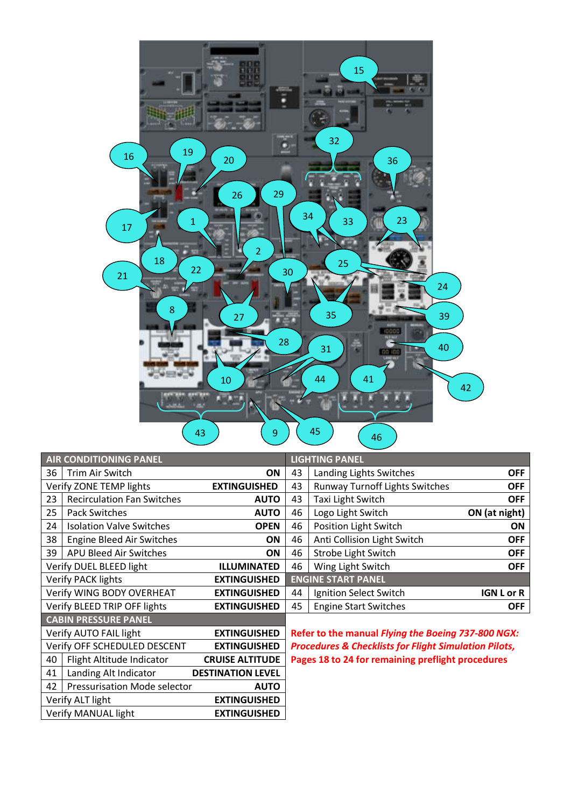

| <b>AIR CONDITIONING PANEL</b>                       |                                   |                                                                  | <b>LIGHTING PANEL</b>                             |                                       |                   |
|-----------------------------------------------------|-----------------------------------|------------------------------------------------------------------|---------------------------------------------------|---------------------------------------|-------------------|
| 36                                                  | Trim Air Switch                   | <b>ON</b>                                                        | 43                                                | Landing Lights Switches               | <b>OFF</b>        |
|                                                     | Verify ZONE TEMP lights           | <b>EXTINGUISHED</b>                                              | 43                                                | <b>Runway Turnoff Lights Switches</b> | <b>OFF</b>        |
| 23                                                  | <b>Recirculation Fan Switches</b> | <b>AUTO</b>                                                      | 43                                                | Taxi Light Switch                     | <b>OFF</b>        |
| 25                                                  | <b>Pack Switches</b>              | <b>AUTO</b>                                                      | 46                                                | Logo Light Switch                     | ON (at night)     |
| 24                                                  | <b>Isolation Valve Switches</b>   | <b>OPEN</b>                                                      | 46                                                | Position Light Switch                 | <b>ON</b>         |
| 38                                                  | <b>Engine Bleed Air Switches</b>  | <b>ON</b>                                                        | 46                                                | Anti Collision Light Switch           | <b>OFF</b>        |
| 39                                                  | APU Bleed Air Switches            | ON                                                               | 46                                                | Strobe Light Switch                   | <b>OFF</b>        |
| Verify DUEL BLEED light                             |                                   | <b>ILLUMINATED</b>                                               | 46                                                | Wing Light Switch                     | <b>OFF</b>        |
| <b>Verify PACK lights</b><br><b>EXTINGUISHED</b>    |                                   |                                                                  | <b>ENGINE START PANEL</b>                         |                                       |                   |
|                                                     | Verify WING BODY OVERHEAT         | <b>EXTINGUISHED</b>                                              | 44                                                | Ignition Select Switch                | <b>IGN L or R</b> |
| Verify BLEED TRIP OFF lights                        |                                   | <b>EXTINGUISHED</b>                                              | 45                                                | <b>Engine Start Switches</b>          | <b>OFF</b>        |
|                                                     | <b>CABIN PRESSURE PANEL</b>       |                                                                  |                                                   |                                       |                   |
| Verify AUTO FAIL light<br><b>EXTINGUISHED</b>       |                                   | Refer to the manual Flying the Boeing 737-800 NGX:               |                                                   |                                       |                   |
| Verify OFF SCHEDULED DESCENT<br><b>EXTINGUISHED</b> |                                   | <b>Procedures &amp; Checklists for Flight Simulation Pilots,</b> |                                                   |                                       |                   |
| 40                                                  | Flight Altitude Indicator         | <b>CRUISE ALTITUDE</b>                                           | Pages 18 to 24 for remaining preflight procedures |                                       |                   |
| 41                                                  | Landing Alt Indicator             | <b>DESTINATION LEVEL</b>                                         |                                                   |                                       |                   |

42 Pressurisation Mode selector **AUTO**<br>Verify ALT light **EXTINGUISHED** 

Verify MANUAL light **EXTINGUISHED**

Verify ALT light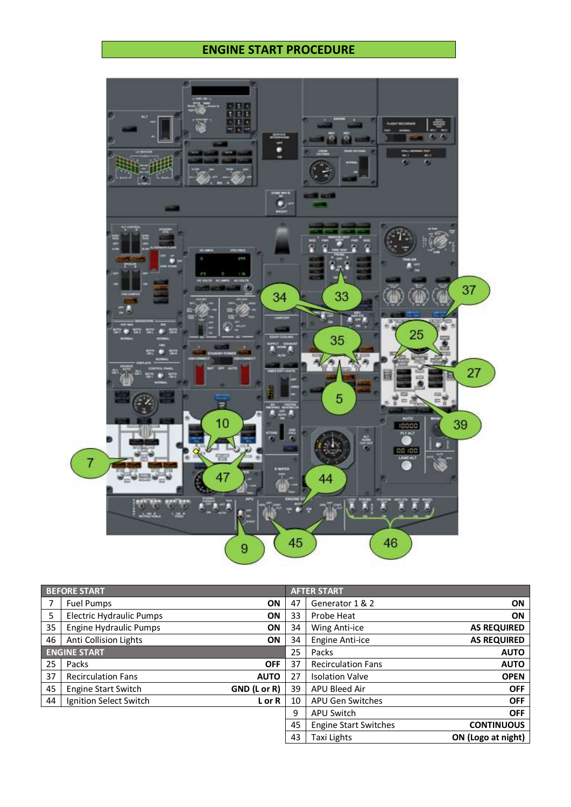#### **ENGINE START PROCEDURE**



| <b>BEFORE START</b> |                                 |              | <b>AFTER START</b> |                              |                    |
|---------------------|---------------------------------|--------------|--------------------|------------------------------|--------------------|
| 7                   | <b>Fuel Pumps</b>               | ON           | 47                 | Generator 1 & 2              | ON                 |
| 5                   | <b>Electric Hydraulic Pumps</b> | ΟN           | 33                 | Probe Heat                   | ON                 |
| 35                  | <b>Engine Hydraulic Pumps</b>   | ΟN           | 34                 | Wing Anti-ice                | <b>AS REQUIRED</b> |
| 46                  | Anti Collision Lights           | ON           | 34                 | <b>Engine Anti-ice</b>       | <b>AS REQUIRED</b> |
|                     | <b>ENGINE START</b>             |              | 25                 | Packs                        | <b>AUTO</b>        |
| 25                  | Packs                           | <b>OFF</b>   | 37                 | <b>Recirculation Fans</b>    | <b>AUTO</b>        |
| 37                  | <b>Recirculation Fans</b>       | <b>AUTO</b>  | 27                 | <b>Isolation Valve</b>       | <b>OPEN</b>        |
| 45                  | <b>Engine Start Switch</b>      | GND (L or R) | 39                 | APU Bleed Air                | <b>OFF</b>         |
| 44                  | Ignition Select Switch          | L or R       | 10                 | APU Gen Switches             | <b>OFF</b>         |
|                     |                                 |              | 9                  | <b>APU Switch</b>            | <b>OFF</b>         |
|                     |                                 |              | 45                 | <b>Engine Start Switches</b> | <b>CONTINUOUS</b>  |
|                     |                                 |              | 43                 | Taxi Lights                  | ON (Logo at night) |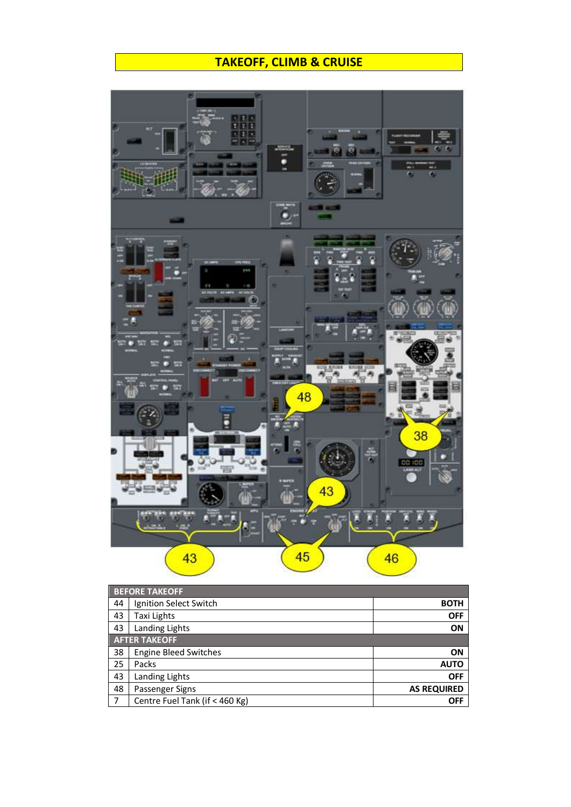## **TAKEOFF, CLIMB & CRUISE**



|                | <b>BEFORE TAKEOFF</b>          |                    |  |  |  |
|----------------|--------------------------------|--------------------|--|--|--|
| 44             | Ignition Select Switch         | <b>BOTH</b>        |  |  |  |
| 43             | Taxi Lights                    | <b>OFF</b>         |  |  |  |
| 43             | Landing Lights                 | ON                 |  |  |  |
|                | <b>AFTER TAKEOFF</b>           |                    |  |  |  |
| 38             | <b>Engine Bleed Switches</b>   | ON                 |  |  |  |
| 25             | Packs                          | <b>AUTO</b>        |  |  |  |
| 43             | Landing Lights                 | <b>OFF</b>         |  |  |  |
| 48             | Passenger Signs                | <b>AS REQUIRED</b> |  |  |  |
| $\overline{7}$ | Centre Fuel Tank (if < 460 Kg) | OFF                |  |  |  |